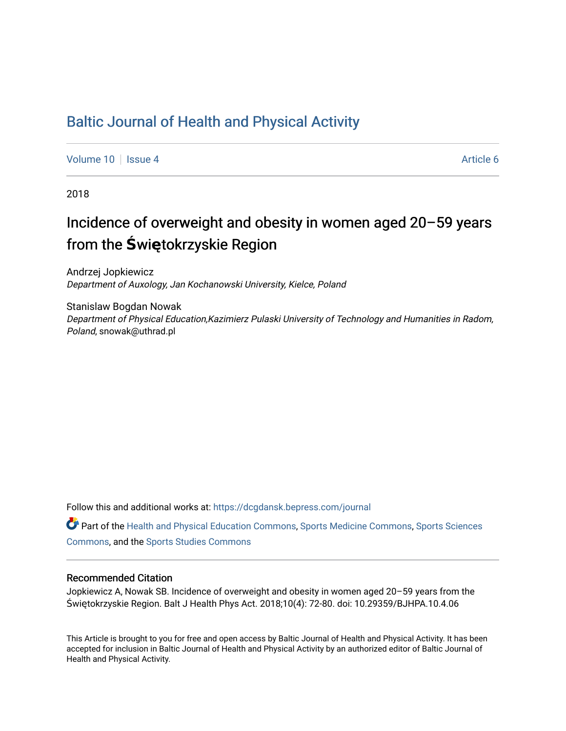### [Baltic Journal of Health and Physical Activity](https://dcgdansk.bepress.com/journal)

[Volume 10](https://dcgdansk.bepress.com/journal/vol10) | [Issue 4](https://dcgdansk.bepress.com/journal/vol10/iss4) Article 6

2018

## Incidence of overweight and obesity in women aged 20–59 years from the **Ś**wi**ę**tokrzyskie Region

Andrzej Jopkiewicz Department of Auxology, Jan Kochanowski University, Kielce, Poland

Stanislaw Bogdan Nowak Department of Physical Education,Kazimierz Pulaski University of Technology and Humanities in Radom, Poland, snowak@uthrad.pl

Follow this and additional works at: [https://dcgdansk.bepress.com/journal](https://dcgdansk.bepress.com/journal?utm_source=dcgdansk.bepress.com%2Fjournal%2Fvol10%2Fiss4%2F6&utm_medium=PDF&utm_campaign=PDFCoverPages)

Part of the [Health and Physical Education Commons](http://network.bepress.com/hgg/discipline/1327?utm_source=dcgdansk.bepress.com%2Fjournal%2Fvol10%2Fiss4%2F6&utm_medium=PDF&utm_campaign=PDFCoverPages), [Sports Medicine Commons,](http://network.bepress.com/hgg/discipline/1331?utm_source=dcgdansk.bepress.com%2Fjournal%2Fvol10%2Fiss4%2F6&utm_medium=PDF&utm_campaign=PDFCoverPages) [Sports Sciences](http://network.bepress.com/hgg/discipline/759?utm_source=dcgdansk.bepress.com%2Fjournal%2Fvol10%2Fiss4%2F6&utm_medium=PDF&utm_campaign=PDFCoverPages) [Commons](http://network.bepress.com/hgg/discipline/759?utm_source=dcgdansk.bepress.com%2Fjournal%2Fvol10%2Fiss4%2F6&utm_medium=PDF&utm_campaign=PDFCoverPages), and the [Sports Studies Commons](http://network.bepress.com/hgg/discipline/1198?utm_source=dcgdansk.bepress.com%2Fjournal%2Fvol10%2Fiss4%2F6&utm_medium=PDF&utm_campaign=PDFCoverPages) 

#### Recommended Citation

Jopkiewicz A, Nowak SB. Incidence of overweight and obesity in women aged 20–59 years from the Świętokrzyskie Region. Balt J Health Phys Act. 2018;10(4): 72-80. doi: 10.29359/BJHPA.10.4.06

This Article is brought to you for free and open access by Baltic Journal of Health and Physical Activity. It has been accepted for inclusion in Baltic Journal of Health and Physical Activity by an authorized editor of Baltic Journal of Health and Physical Activity.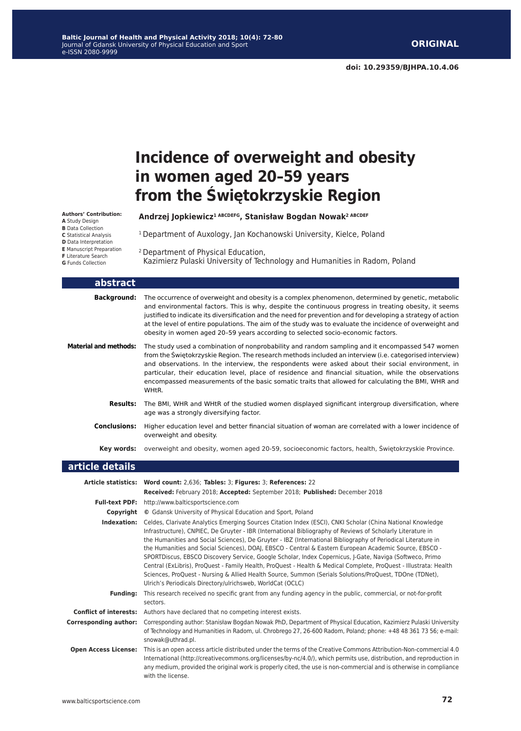**doi: 10.29359/BJHPA.10.4.06**

# **Incidence of overweight and obesity in women aged 20–59 years from the Świętokrzyskie Region**

**Authors' Contribution: A** Study Design **B** Data Collection **C** Statistical Analysis **D** Data Interpretation **E** Manuscript Preparation **F** Literature Search

**G** Funds Collection

L

L

2 Department of Physical Education, Kazimierz Pulaski University of Technology and Humanities in Radom, Poland

**Andrzej Jopkiewicz1 ABCDEFG, Stanisław Bogdan Nowak2 ABCDEF**

<sup>1</sup> Department of Auxology, Jan Kochanowski University, Kielce, Poland

| abstract                     |                                                                                                                                                                                                                                                                                                                                                                                                                                                                                                                                         |
|------------------------------|-----------------------------------------------------------------------------------------------------------------------------------------------------------------------------------------------------------------------------------------------------------------------------------------------------------------------------------------------------------------------------------------------------------------------------------------------------------------------------------------------------------------------------------------|
| <b>Background:</b>           | The occurrence of overweight and obesity is a complex phenomenon, determined by genetic, metabolic<br>and environmental factors. This is why, despite the continuous progress in treating obesity, it seems<br>justified to indicate its diversification and the need for prevention and for developing a strategy of action<br>at the level of entire populations. The aim of the study was to evaluate the incidence of overweight and<br>obesity in women aged 20-59 years according to selected socio-economic factors.             |
| <b>Material and methods:</b> | The study used a combination of nonprobability and random sampling and it encompassed 547 women<br>from the Swietokrzyskie Region. The research methods included an interview (i.e. categorised interview)<br>and observations. In the interview, the respondents were asked about their social environment, in<br>particular, their education level, place of residence and financial situation, while the observations<br>encompassed measurements of the basic somatic traits that allowed for calculating the BMI, WHR and<br>WHtR. |
| <b>Results:</b>              | The BMI, WHR and WHtR of the studied women displayed significant intergroup diversification, where<br>age was a strongly diversifying factor.                                                                                                                                                                                                                                                                                                                                                                                           |
| <b>Conclusions:</b>          | Higher education level and better financial situation of woman are correlated with a lower incidence of<br>overweight and obesity.                                                                                                                                                                                                                                                                                                                                                                                                      |
| Key words:                   | overweight and obesity, women aged 20-59, socioeconomic factors, health, Swietokrzyskie Province.                                                                                                                                                                                                                                                                                                                                                                                                                                       |
| article details              |                                                                                                                                                                                                                                                                                                                                                                                                                                                                                                                                         |
|                              |                                                                                                                                                                                                                                                                                                                                                                                                                                                                                                                                         |

|                               | Article statistics: Word count: 2,636; Tables: 3; Figures: 3; References: 22                                                                                                                                                                                                                                                                                                                                                                                                                                                                                                                                                                                                                                                                                                                                                                                  |  |  |  |  |  |  |
|-------------------------------|---------------------------------------------------------------------------------------------------------------------------------------------------------------------------------------------------------------------------------------------------------------------------------------------------------------------------------------------------------------------------------------------------------------------------------------------------------------------------------------------------------------------------------------------------------------------------------------------------------------------------------------------------------------------------------------------------------------------------------------------------------------------------------------------------------------------------------------------------------------|--|--|--|--|--|--|
|                               | Received: February 2018; Accepted: September 2018; Published: December 2018                                                                                                                                                                                                                                                                                                                                                                                                                                                                                                                                                                                                                                                                                                                                                                                   |  |  |  |  |  |  |
|                               | Full-text PDF: http://www.balticsportscience.com                                                                                                                                                                                                                                                                                                                                                                                                                                                                                                                                                                                                                                                                                                                                                                                                              |  |  |  |  |  |  |
| Copyright                     | © Gdansk University of Physical Education and Sport, Poland                                                                                                                                                                                                                                                                                                                                                                                                                                                                                                                                                                                                                                                                                                                                                                                                   |  |  |  |  |  |  |
| Indexation:                   | Celdes, Clarivate Analytics Emerging Sources Citation Index (ESCI), CNKI Scholar (China National Knowledge<br>Infrastructure), CNPIEC, De Gruyter - IBR (International Bibliography of Reviews of Scholarly Literature in<br>the Humanities and Social Sciences), De Gruyter - IBZ (International Bibliography of Periodical Literature in<br>the Humanities and Social Sciences), DOAJ, EBSCO - Central & Eastern European Academic Source, EBSCO -<br>SPORTDiscus, EBSCO Discovery Service, Google Scholar, Index Copernicus, J-Gate, Naviga (Softweco, Primo<br>Central (ExLibris), ProQuest - Family Health, ProQuest - Health & Medical Complete, ProQuest - Illustrata: Health<br>Sciences, ProQuest - Nursing & Allied Health Source, Summon (Serials Solutions/ProQuest, TDOne (TDNet),<br>Ulrich's Periodicals Directory/ulrichsweb, WorldCat (OCLC) |  |  |  |  |  |  |
| <b>Fundina:</b>               | This research received no specific grant from any funding agency in the public, commercial, or not-for-profit<br>sectors.                                                                                                                                                                                                                                                                                                                                                                                                                                                                                                                                                                                                                                                                                                                                     |  |  |  |  |  |  |
| <b>Conflict of interests:</b> | Authors have declared that no competing interest exists.                                                                                                                                                                                                                                                                                                                                                                                                                                                                                                                                                                                                                                                                                                                                                                                                      |  |  |  |  |  |  |
| <b>Corresponding author:</b>  | Corresponding author: Stanisław Bogdan Nowak PhD, Department of Physical Education, Kazimierz Pulaski University<br>of Technology and Humanities in Radom, ul. Chrobrego 27, 26-600 Radom, Poland; phone: +48 48 361 73 56; e-mail:<br>snowak@uthrad.pl.                                                                                                                                                                                                                                                                                                                                                                                                                                                                                                                                                                                                      |  |  |  |  |  |  |
| <b>Open Access License:</b>   | This is an open access article distributed under the terms of the Creative Commons Attribution-Non-commercial 4.0<br>International (http://creativecommons.org/licenses/by-nc/4.0/), which permits use, distribution, and reproduction in<br>any medium, provided the original work is properly cited, the use is non-commercial and is otherwise in compliance<br>with the license.                                                                                                                                                                                                                                                                                                                                                                                                                                                                          |  |  |  |  |  |  |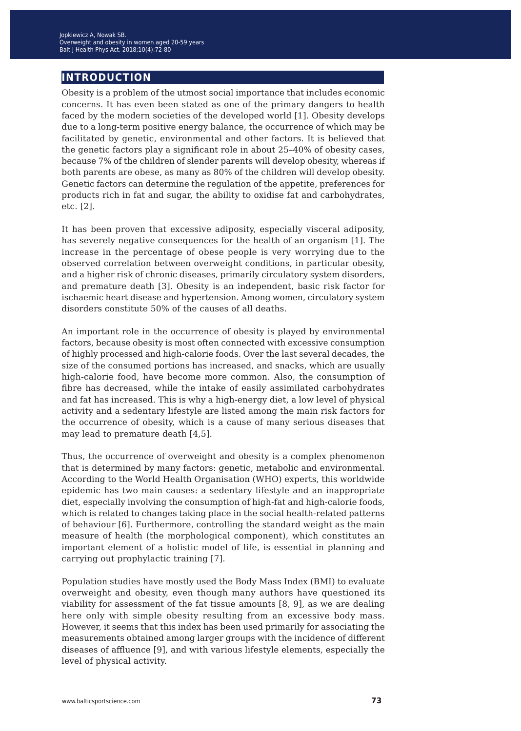### **introduction**

Obesity is a problem of the utmost social importance that includes economic concerns. It has even been stated as one of the primary dangers to health faced by the modern societies of the developed world [1]. Obesity develops due to a long-term positive energy balance, the occurrence of which may be facilitated by genetic, environmental and other factors. It is believed that the genetic factors play a significant role in about 25–40% of obesity cases, because 7% of the children of slender parents will develop obesity, whereas if both parents are obese, as many as 80% of the children will develop obesity. Genetic factors can determine the regulation of the appetite, preferences for products rich in fat and sugar, the ability to oxidise fat and carbohydrates, etc. [2].

It has been proven that excessive adiposity, especially visceral adiposity, has severely negative consequences for the health of an organism [1]. The increase in the percentage of obese people is very worrying due to the observed correlation between overweight conditions, in particular obesity, and a higher risk of chronic diseases, primarily circulatory system disorders, and premature death [3]. Obesity is an independent, basic risk factor for ischaemic heart disease and hypertension. Among women, circulatory system disorders constitute 50% of the causes of all deaths.

An important role in the occurrence of obesity is played by environmental factors, because obesity is most often connected with excessive consumption of highly processed and high-calorie foods. Over the last several decades, the size of the consumed portions has increased, and snacks, which are usually high-calorie food, have become more common. Also, the consumption of fibre has decreased, while the intake of easily assimilated carbohydrates and fat has increased. This is why a high-energy diet, a low level of physical activity and a sedentary lifestyle are listed among the main risk factors for the occurrence of obesity, which is a cause of many serious diseases that may lead to premature death [4,5].

Thus, the occurrence of overweight and obesity is a complex phenomenon that is determined by many factors: genetic, metabolic and environmental. According to the World Health Organisation (WHO) experts, this worldwide epidemic has two main causes: a sedentary lifestyle and an inappropriate diet, especially involving the consumption of high-fat and high-calorie foods, which is related to changes taking place in the social health-related patterns of behaviour [6]. Furthermore, controlling the standard weight as the main measure of health (the morphological component), which constitutes an important element of a holistic model of life, is essential in planning and carrying out prophylactic training [7].

Population studies have mostly used the Body Mass Index (BMI) to evaluate overweight and obesity, even though many authors have questioned its viability for assessment of the fat tissue amounts [8, 9], as we are dealing here only with simple obesity resulting from an excessive body mass. However, it seems that this index has been used primarily for associating the measurements obtained among larger groups with the incidence of different diseases of affluence [9], and with various lifestyle elements, especially the level of physical activity.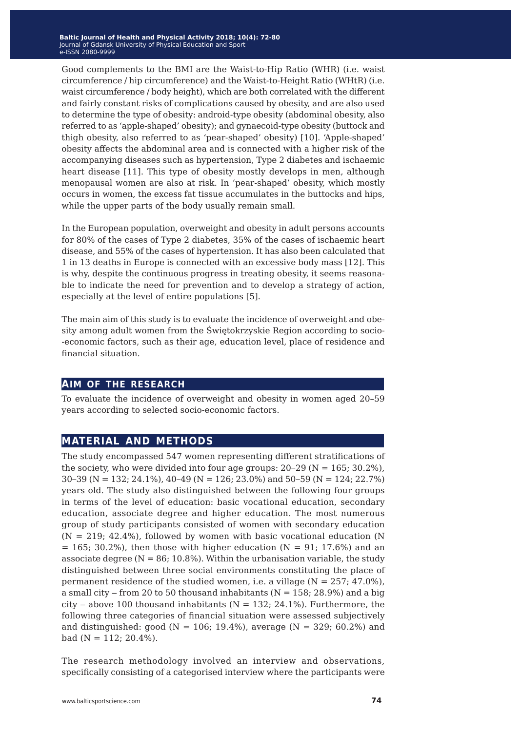Good complements to the BMI are the Waist-to-Hip Ratio (WHR) (i.e. waist circumference / hip circumference) and the Waist-to-Height Ratio (WHtR) (i.e. waist circumference / body height), which are both correlated with the different and fairly constant risks of complications caused by obesity, and are also used to determine the type of obesity: android-type obesity (abdominal obesity, also referred to as 'apple-shaped' obesity); and gynaecoid-type obesity (buttock and thigh obesity, also referred to as 'pear-shaped' obesity) [10]. 'Apple-shaped' obesity affects the abdominal area and is connected with a higher risk of the accompanying diseases such as hypertension, Type 2 diabetes and ischaemic heart disease [11]. This type of obesity mostly develops in men, although menopausal women are also at risk. In 'pear-shaped' obesity, which mostly occurs in women, the excess fat tissue accumulates in the buttocks and hips, while the upper parts of the body usually remain small.

In the European population, overweight and obesity in adult persons accounts for 80% of the cases of Type 2 diabetes, 35% of the cases of ischaemic heart disease, and 55% of the cases of hypertension. It has also been calculated that 1 in 13 deaths in Europe is connected with an excessive body mass [12]. This is why, despite the continuous progress in treating obesity, it seems reasonable to indicate the need for prevention and to develop a strategy of action, especially at the level of entire populations [5].

The main aim of this study is to evaluate the incidence of overweight and obesity among adult women from the Świętokrzyskie Region according to socio- -economic factors, such as their age, education level, place of residence and financial situation.

#### **aim of the research**

To evaluate the incidence of overweight and obesity in women aged 20–59 years according to selected socio-economic factors.

#### **material and methods**

The study encompassed 547 women representing different stratifications of the society, who were divided into four age groups:  $20-29$  (N = 165; 30.2%), 30−39 (N = 132; 24.1%), 40−49 (N = 126; 23.0%) and 50−59 (N = 124; 22.7%) years old. The study also distinguished between the following four groups in terms of the level of education: basic vocational education, secondary education, associate degree and higher education. The most numerous group of study participants consisted of women with secondary education  $(N = 219; 42.4\%)$ , followed by women with basic vocational education (N)  $= 165$ ; 30.2%), then those with higher education (N = 91; 17.6%) and an associate degree ( $N = 86$ ; 10.8%). Within the urbanisation variable, the study distinguished between three social environments constituting the place of permanent residence of the studied women, i.e. a village  $(N = 257; 47.0\% )$ , a small city – from 20 to 50 thousand inhabitants ( $N = 158$ ; 28.9%) and a big city – above 100 thousand inhabitants ( $N = 132$ ; 24.1%). Furthermore, the following three categories of financial situation were assessed subjectively and distinguished: good (N = 106; 19.4%), average (N = 329; 60.2%) and bad  $(N = 112; 20.4\%).$ 

The research methodology involved an interview and observations, specifically consisting of a categorised interview where the participants were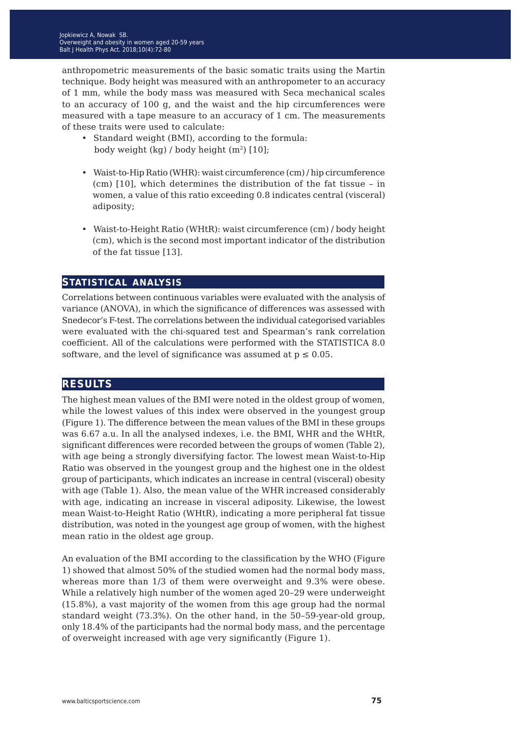anthropometric measurements of the basic somatic traits using the Martin technique. Body height was measured with an anthropometer to an accuracy of 1 mm, while the body mass was measured with Seca mechanical scales to an accuracy of 100 g, and the waist and the hip circumferences were measured with a tape measure to an accuracy of 1 cm. The measurements of these traits were used to calculate:

- Standard weight (BMI), according to the formula: body weight (kg) / body height  $(m^2)$  [10];
- Waist-to-Hip Ratio (WHR): waist circumference (cm) / hip circumference (cm) [10], which determines the distribution of the fat tissue – in women, a value of this ratio exceeding 0.8 indicates central (visceral) adiposity;
- Waist-to-Height Ratio (WHtR): waist circumference (cm) / body height (cm), which is the second most important indicator of the distribution of the fat tissue [13].

#### **statistical analysis**

Correlations between continuous variables were evaluated with the analysis of variance (ANOVA), in which the significance of differences was assessed with Snedecor's F-test. The correlations between the individual categorised variables were evaluated with the chi-squared test and Spearman's rank correlation coefficient. All of the calculations were performed with the STATISTICA 8.0 software, and the level of significance was assumed at  $p \le 0.05$ .

#### **results**

The highest mean values of the BMI were noted in the oldest group of women, while the lowest values of this index were observed in the youngest group (Figure 1). The difference between the mean values of the BMI in these groups was 6.67 a.u. In all the analysed indexes, i.e. the BMI, WHR and the WHtR, significant differences were recorded between the groups of women (Table 2), with age being a strongly diversifying factor. The lowest mean Waist-to-Hip Ratio was observed in the youngest group and the highest one in the oldest group of participants, which indicates an increase in central (visceral) obesity with age (Table 1). Also, the mean value of the WHR increased considerably with age, indicating an increase in visceral adiposity. Likewise, the lowest mean Waist-to-Height Ratio (WHtR), indicating a more peripheral fat tissue distribution, was noted in the youngest age group of women, with the highest mean ratio in the oldest age group.

An evaluation of the BMI according to the classification by the WHO (Figure 1) showed that almost 50% of the studied women had the normal body mass, whereas more than 1/3 of them were overweight and 9.3% were obese. While a relatively high number of the women aged 20–29 were underweight (15.8%), a vast majority of the women from this age group had the normal standard weight (73.3%). On the other hand, in the 50–59-year-old group, only 18.4% of the participants had the normal body mass, and the percentage of overweight increased with age very significantly (Figure 1).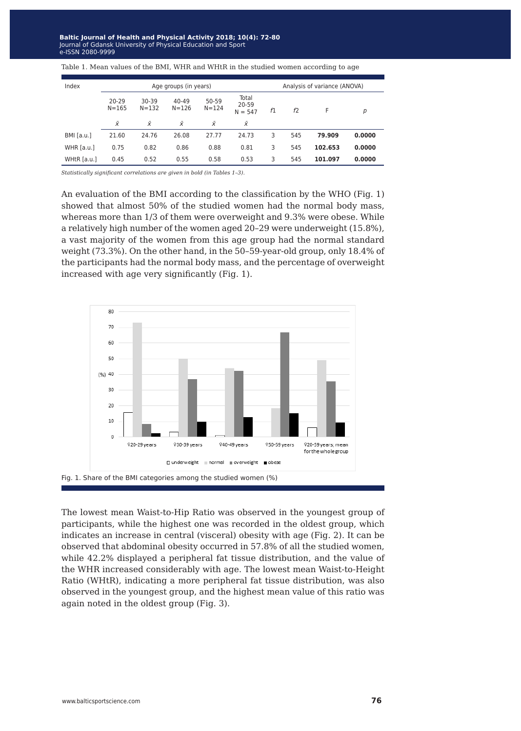| Index        | Age groups (in years)  |                    |                        |                    | Analysis of variance (ANOVA) |    |     |         |        |
|--------------|------------------------|--------------------|------------------------|--------------------|------------------------------|----|-----|---------|--------|
|              | $20 - 29$<br>$N = 165$ | 30-39<br>$N = 132$ | $40 - 49$<br>$N = 126$ | 50-59<br>$N = 124$ | Total<br>20-59<br>$N = 547$  | f1 | f2  | F       | р      |
|              | Ÿ                      | Ÿ                  | Ϋ́                     | $\bar{x}$          | Ϋ́                           |    |     |         |        |
| $BMI$ [a.u.] | 21.60                  | 24.76              | 26.08                  | 27.77              | 24.73                        | 3  | 545 | 79.909  | 0.0000 |
| WHR $[a.u.]$ | 0.75                   | 0.82               | 0.86                   | 0.88               | 0.81                         | 3  | 545 | 102.653 | 0.0000 |
| WHtR [a.u.]  | 0.45                   | 0.52               | 0.55                   | 0.58               | 0.53                         | 3  | 545 | 101.097 | 0.0000 |

Table 1. Mean values of the BMI, WHR and WHtR in the studied women according to age

*Statistically significant correlations are given in bold (in Tables 1–3).*

An evaluation of the BMI according to the classification by the WHO (Fig. 1) showed that almost 50% of the studied women had the normal body mass, whereas more than 1/3 of them were overweight and 9.3% were obese. While a relatively high number of the women aged 20–29 were underweight (15.8%), a vast majority of the women from this age group had the normal standard weight (73.3%). On the other hand, in the 50–59-year-old group, only 18.4% of the participants had the normal body mass, and the percentage of overweight increased with age very significantly (Fig. 1).



The lowest mean Waist-to-Hip Ratio was observed in the youngest group of participants, while the highest one was recorded in the oldest group, which indicates an increase in central (visceral) obesity with age (Fig. 2). It can be observed that abdominal obesity occurred in 57.8% of all the studied women, while 42.2% displayed a peripheral fat tissue distribution, and the value of the WHR increased considerably with age. The lowest mean Waist-to-Height Ratio (WHtR), indicating a more peripheral fat tissue distribution, was also observed in the youngest group, and the highest mean value of this ratio was again noted in the oldest group (Fig. 3).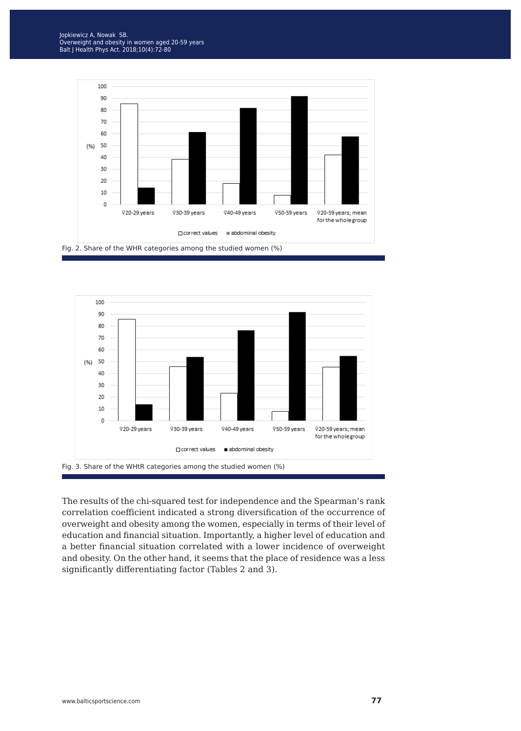



The results of the chi-squared test for independence and the Spearman's rank correlation coefficient indicated a strong diversification of the occurrence of overweight and obesity among the women, especially in terms of their level of education and financial situation. Importantly, a higher level of education and a better financial situation correlated with a lower incidence of overweight and obesity. On the other hand, it seems that the place of residence was a less significantly differentiating factor (Tables 2 and 3).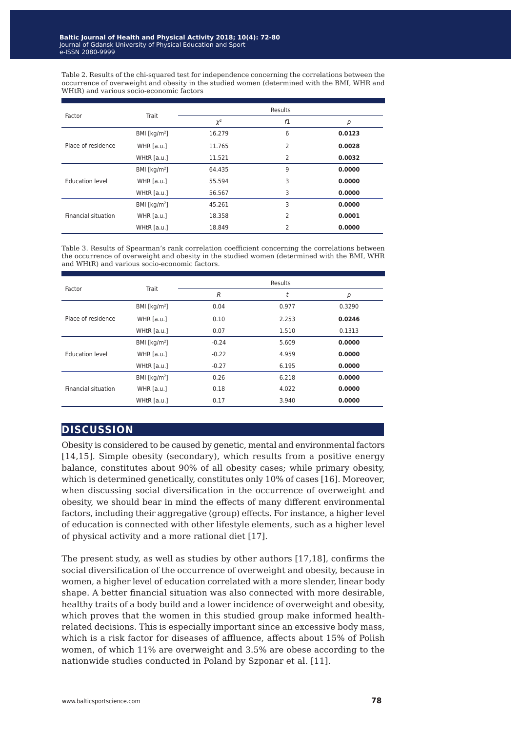Table 2. Results of the chi-squared test for independence concerning the correlations between the occurrence of overweight and obesity in the studied women (determined with the BMI, WHR and WHtR) and various socio-economic factors

| Factor              | Trait           | Results  |    |        |  |  |
|---------------------|-----------------|----------|----|--------|--|--|
|                     |                 | $\chi^2$ | f1 | p      |  |  |
| Place of residence  | BMI [ $kg/m2$ ] | 16.279   | 6  | 0.0123 |  |  |
|                     | WHR $[a.u.]$    | 11.765   | 2  | 0.0028 |  |  |
|                     | WHtR [a.u.]     | 11.521   | 2  | 0.0032 |  |  |
| Education level     | BMI [ $kg/m2$ ] | 64.435   | 9  | 0.0000 |  |  |
|                     | WHR $[a.u.]$    | 55.594   | 3  | 0.0000 |  |  |
|                     | WHtR [a.u.]     | 56.567   | 3  | 0.0000 |  |  |
| Financial situation | BMI [ $kg/m2$ ] | 45.261   | 3  | 0.0000 |  |  |
|                     | WHR $[a.u.]$    | 18.358   | 2  | 0.0001 |  |  |
|                     | WHtR [a.u.]     | 18.849   | 2  | 0.0000 |  |  |

Table 3. Results of Spearman's rank correlation coefficient concerning the correlations between the occurrence of overweight and obesity in the studied women (determined with the BMI, WHR and WHtR) and various socio-economic factors.

| Trait           | Results        |       |        |  |  |
|-----------------|----------------|-------|--------|--|--|
|                 | $\overline{R}$ | t     | р      |  |  |
| BMI [ $kg/m2$ ] | 0.04           | 0.977 | 0.3290 |  |  |
| WHR $[a.u.]$    | 0.10           | 2.253 | 0.0246 |  |  |
| WHtR [a.u.]     | 0.07           | 1.510 | 0.1313 |  |  |
| BMI [ $kg/m2$ ] | $-0.24$        | 5.609 | 0.0000 |  |  |
| WHR $[a.u.]$    | $-0.22$        | 4.959 | 0.0000 |  |  |
| WHtR [a.u.]     | $-0.27$        | 6.195 | 0.0000 |  |  |
| BMI [ $kg/m2$ ] | 0.26           | 6.218 | 0.0000 |  |  |
| WHR $[a.u.]$    | 0.18           | 4.022 | 0.0000 |  |  |
| WHtR [a.u.]     | 0.17           | 3.940 | 0.0000 |  |  |
|                 |                |       |        |  |  |

#### **discussion**

Obesity is considered to be caused by genetic, mental and environmental factors [14,15]. Simple obesity (secondary), which results from a positive energy balance, constitutes about 90% of all obesity cases; while primary obesity, which is determined genetically, constitutes only 10% of cases [16]. Moreover, when discussing social diversification in the occurrence of overweight and obesity, we should bear in mind the effects of many different environmental factors, including their aggregative (group) effects. For instance, a higher level of education is connected with other lifestyle elements, such as a higher level of physical activity and a more rational diet [17].

The present study, as well as studies by other authors [17,18], confirms the social diversification of the occurrence of overweight and obesity, because in women, a higher level of education correlated with a more slender, linear body shape. A better financial situation was also connected with more desirable, healthy traits of a body build and a lower incidence of overweight and obesity, which proves that the women in this studied group make informed healthrelated decisions. This is especially important since an excessive body mass, which is a risk factor for diseases of affluence, affects about 15% of Polish women, of which 11% are overweight and 3.5% are obese according to the nationwide studies conducted in Poland by Szponar et al. [11].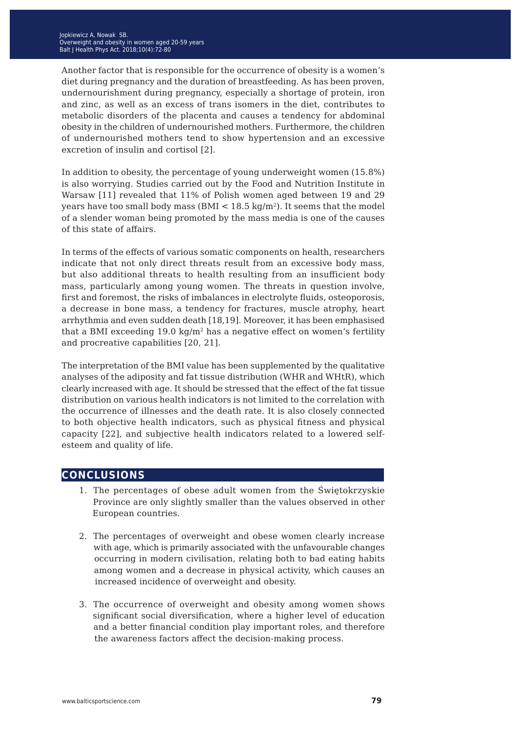Another factor that is responsible for the occurrence of obesity is a women's diet during pregnancy and the duration of breastfeeding. As has been proven, undernourishment during pregnancy, especially a shortage of protein, iron and zinc, as well as an excess of trans isomers in the diet, contributes to metabolic disorders of the placenta and causes a tendency for abdominal obesity in the children of undernourished mothers. Furthermore, the children of undernourished mothers tend to show hypertension and an excessive excretion of insulin and cortisol [2].

In addition to obesity, the percentage of young underweight women (15.8%) is also worrying. Studies carried out by the Food and Nutrition Institute in Warsaw [11] revealed that 11% of Polish women aged between 19 and 29 years have too small body mass ( $BMI < 18.5 \text{ kg/m}^2$ ). It seems that the model of a slender woman being promoted by the mass media is one of the causes of this state of affairs.

In terms of the effects of various somatic components on health, researchers indicate that not only direct threats result from an excessive body mass, but also additional threats to health resulting from an insufficient body mass, particularly among young women. The threats in question involve, first and foremost, the risks of imbalances in electrolyte fluids, osteoporosis, a decrease in bone mass, a tendency for fractures, muscle atrophy, heart arrhythmia and even sudden death [18,19]. Moreover, it has been emphasised that a BMI exceeding  $19.0 \text{ kg/m}^2$  has a negative effect on women's fertility and procreative capabilities [20, 21].

The interpretation of the BMI value has been supplemented by the qualitative analyses of the adiposity and fat tissue distribution (WHR and WHtR), which clearly increased with age. It should be stressed that the effect of the fat tissue distribution on various health indicators is not limited to the correlation with the occurrence of illnesses and the death rate. It is also closely connected to both objective health indicators, such as physical fitness and physical capacity [22], and subjective health indicators related to a lowered selfesteem and quality of life.

#### **conclusions**

- 1. The percentages of obese adult women from the Świętokrzyskie Province are only slightly smaller than the values observed in other European countries.
- 2. The percentages of overweight and obese women clearly increase with age, which is primarily associated with the unfavourable changes occurring in modern civilisation, relating both to bad eating habits among women and a decrease in physical activity, which causes an increased incidence of overweight and obesity.
- 3. The occurrence of overweight and obesity among women shows significant social diversification, where a higher level of education and a better financial condition play important roles, and therefore the awareness factors affect the decision-making process.